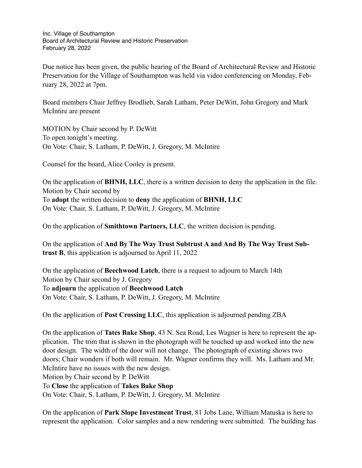Inc. Village of Southampton Board of Architectural Review and Historic Preservation February 28, 2022

Due notice has been given, the public hearing of the Board of Architectural Review and Historic Preservation for the Village of Southampton was held via video conferencing on Monday, February 28, 2022 at 7pm.

Board members Chair Jeffrey Brodlieb, Sarah Latham, Peter DeWitt, John Gregory and Mark McIntire are present

MOTION by Chair second by P. DeWitt To open tonight's meeting. On Vote: Chair, S. Latham, P. DeWitt, J. Gregory, M. McIntire

Counsel for the board, Alice Cooley is present.

On the application of **BHNH, LLC**, there is a written decision to deny the application in the file. Motion by Chair second by To **adopt** the written decision to **deny** the application of **BHNH, LLC** On Vote: Chair, S. Latham, P. DeWitt, J. Gregory, M. McIntire

On the application of **Smithtown Partners, LLC**, the written decision is pending.

On the application of **And By The Way Trust Subtrust A and And By The Way Trust Subtrust B**, this application is adjourned to April 11, 2022

On the application of **Beechwood Latch**, there is a request to adjourn to March 14th Motion by Chair second by J. Gregory To **adjourn** the application of **Beechwood Latch** On Vote: Chair, S. Latham, P. DeWitt, J. Gregory, M. McIntire

On the application of **Post Crossing LLC**, this application is adjourned pending ZBA

On the application of **Tates Bake Shop**, 43 N. Sea Road, Les Wagner is here to represent the application. The trim that is shown in the photograph will be touched up and worked into the new door design. The width of the door will not change. The photograph of existing shows two doors; Chair wonders if both will remain. Mr. Wagner confirms they will. Ms. Latham and Mr. McIntire have no issues with the new design. Motion by Chair second by P. DeWitt To **Close** the application of **Takes Bake Shop** On Vote: Chair, S. Latham, P. DeWitt, J. Gregory, M. McIntire

On the application of **Park Slope Investment Trust**, 81 Jobs Lane, William Matuska is here to represent the application. Color samples and a new rendering were submitted. The building has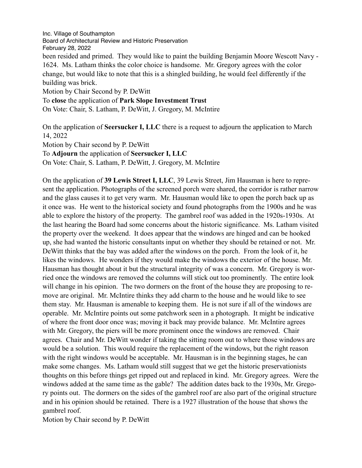Inc. Village of Southampton Board of Architectural Review and Historic Preservation February 28, 2022 been resided and primed. They would like to paint the building Benjamin Moore Wescott Navy - 1624. Ms. Latham thinks the color choice is handsome. Mr. Gregory agrees with the color change, but would like to note that this is a shingled building, he would feel differently if the building was brick. Motion by Chair Second by P. DeWitt To **close** the application of **Park Slope Investment Trust** On Vote: Chair, S. Latham, P. DeWitt, J. Gregory, M. McIntire

On the application of **Seersucker I, LLC** there is a request to adjourn the application to March 14, 2022

Motion by Chair second by P. DeWitt

To **Adjourn** the application of **Seersucker I, LLC**

On Vote: Chair, S. Latham, P. DeWitt, J. Gregory, M. McIntire

On the application of **39 Lewis Street I, LLC**, 39 Lewis Street, Jim Hausman is here to represent the application. Photographs of the screened porch were shared, the corridor is rather narrow and the glass causes it to get very warm. Mr. Hausman would like to open the porch back up as it once was. He went to the historical society and found photographs from the 1900s and he was able to explore the history of the property. The gambrel roof was added in the 1920s-1930s. At the last hearing the Board had some concerns about the historic significance. Ms. Latham visited the property over the weekend. It does appear that the windows are hinged and can be hooked up, she had wanted the historic consultants input on whether they should be retained or not. Mr. DeWitt thinks that the bay was added after the windows on the porch. From the look of it, he likes the windows. He wonders if they would make the windows the exterior of the house. Mr. Hausman has thought about it but the structural integrity of was a concern. Mr. Gregory is worried once the windows are removed the columns will stick out too prominently. The entire look will change in his opinion. The two dormers on the front of the house they are proposing to remove are original. Mr. McIntire thinks they add charm to the house and he would like to see them stay. Mr. Hausman is amenable to keeping them. He is not sure if all of the windows are operable. Mr. McIntire points out some patchwork seen in a photograph. It might be indicative of where the front door once was; moving it back may provide balance. Mr. McIntire agrees with Mr. Gregory, the piers will be more prominent once the windows are removed. Chair agrees. Chair and Mr. DeWitt wonder if taking the sitting room out to where those windows are would be a solution. This would require the replacement of the windows, but the right reason with the right windows would be acceptable. Mr. Hausman is in the beginning stages, he can make some changes. Ms. Latham would still suggest that we get the historic preservationists thoughts on this before things get ripped out and replaced in kind. Mr. Gregory agrees. Were the windows added at the same time as the gable? The addition dates back to the 1930s, Mr. Gregory points out. The dormers on the sides of the gambrel roof are also part of the original structure and in his opinion should be retained. There is a 1927 illustration of the house that shows the gambrel roof.

Motion by Chair second by P. DeWitt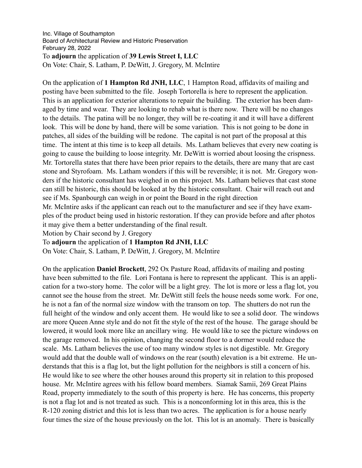## Inc. Village of Southampton Board of Architectural Review and Historic Preservation February 28, 2022 To **adjourn** the application of **39 Lewis Street I, LLC** On Vote: Chair, S. Latham, P. DeWitt, J. Gregory, M. McIntire

On the application of **1 Hampton Rd JNH, LLC**, 1 Hampton Road, affidavits of mailing and posting have been submitted to the file. Joseph Tortorella is here to represent the application. This is an application for exterior alterations to repair the building. The exterior has been damaged by time and wear. They are looking to rehab what is there now. There will be no changes to the details. The patina will be no longer, they will be re-coating it and it will have a different look. This will be done by hand, there will be some variation. This is not going to be done in patches, all sides of the building will be redone. The capital is not part of the proposal at this time. The intent at this time is to keep all details. Ms. Latham believes that every new coating is going to cause the building to loose integrity. Mr. DeWitt is worried about loosing the crispness. Mr. Tortorella states that there have been prior repairs to the details, there are many that are cast stone and Styrofoam. Ms. Latham wonders if this will be reversible; it is not. Mr. Gregory wonders if the historic consultant has weighed in on this project. Ms. Latham believes that cast stone can still be historic, this should be looked at by the historic consultant. Chair will reach out and see if Ms. Spanbourgh can weigh in or point the Board in the right direction

Mr. McIntire asks if the applicant can reach out to the manufacturer and see if they have examples of the product being used in historic restoration. If they can provide before and after photos it may give them a better understanding of the final result.

Motion by Chair second by J. Gregory

To **adjourn** the application of **1 Hampton Rd JNH, LLC**

On Vote: Chair, S. Latham, P. DeWitt, J. Gregory, M. McIntire

On the application **Daniel Brockett**, 292 Ox Pasture Road, affidavits of mailing and posting have been submitted to the file. Lori Fontana is here to represent the applicant. This is an application for a two-story home. The color will be a light grey. The lot is more or less a flag lot, you cannot see the house from the street. Mr. DeWitt still feels the house needs some work. For one, he is not a fan of the normal size window with the transom on top. The shutters do not run the full height of the window and only accent them. He would like to see a solid door. The windows are more Queen Anne style and do not fit the style of the rest of the house. The garage should be lowered, it would look more like an ancillary wing. He would like to see the picture windows on the garage removed. In his opinion, changing the second floor to a dormer would reduce the scale. Ms. Latham believes the use of too many window styles is not digestible. Mr. Gregory would add that the double wall of windows on the rear (south) elevation is a bit extreme. He understands that this is a flag lot, but the light pollution for the neighbors is still a concern of his. He would like to see where the other houses around this property sit in relation to this proposed house. Mr. McIntire agrees with his fellow board members. Siamak Samii, 269 Great Plains Road, property immediately to the south of this property is here. He has concerns, this property is not a flag lot and is not treated as such. This is a nonconforming lot in this area, this is the R-120 zoning district and this lot is less than two acres. The application is for a house nearly four times the size of the house previously on the lot. This lot is an anomaly. There is basically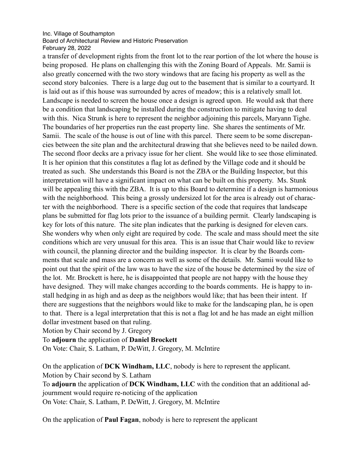## Inc. Village of Southampton Board of Architectural Review and Historic Preservation February 28, 2022

a transfer of development rights from the front lot to the rear portion of the lot where the house is being proposed. He plans on challenging this with the Zoning Board of Appeals. Mr. Samii is also greatly concerned with the two story windows that are facing his property as well as the second story balconies. There is a large dug out to the basement that is similar to a courtyard. It is laid out as if this house was surrounded by acres of meadow; this is a relatively small lot. Landscape is needed to screen the house once a design is agreed upon. He would ask that there be a condition that landscaping be installed during the construction to mitigate having to deal with this. Nica Strunk is here to represent the neighbor adjoining this parcels, Maryann Tighe. The boundaries of her properties run the east property line. She shares the sentiments of Mr. Samii. The scale of the house is out of line with this parcel. There seem to be some discrepancies between the site plan and the architectural drawing that she believes need to be nailed down. The second floor decks are a privacy issue for her client. She would like to see those eliminated. It is her opinion that this constitutes a flag lot as defined by the Village code and it should be treated as such. She understands this Board is not the ZBA or the Building Inspector, but this interpretation will have a significant impact on what can be built on this property. Ms. Stunk will be appealing this with the ZBA. It is up to this Board to determine if a design is harmonious with the neighborhood. This being a grossly undersized lot for the area is already out of character with the neighborhood. There is a specific section of the code that requires that landscape plans be submitted for flag lots prior to the issuance of a building permit. Clearly landscaping is key for lots of this nature. The site plan indicates that the parking is designed for eleven cars. She wonders why when only eight are required by code. The scale and mass should meet the site conditions which are very unusual for this area. This is an issue that Chair would like to review with council, the planning director and the building inspector. It is clear by the Boards comments that scale and mass are a concern as well as some of the details. Mr. Samii would like to point out that the spirit of the law was to have the size of the house be determined by the size of the lot. Mr. Brockett is here, he is disappointed that people are not happy with the house they have designed. They will make changes according to the boards comments. He is happy to install hedging in as high and as deep as the neighbors would like; that has been their intent. If there are suggestions that the neighbors would like to make for the landscaping plan, he is open to that. There is a legal interpretation that this is not a flag lot and he has made an eight million dollar investment based on that ruling.

Motion by Chair second by J. Gregory

To **adjourn** the application of **Daniel Brockett**

On Vote: Chair, S. Latham, P. DeWitt, J. Gregory, M. McIntire

On the application of **DCK Windham, LLC**, nobody is here to represent the applicant. Motion by Chair second by S. Latham

To **adjourn** the application of **DCK Windham, LLC** with the condition that an additional adjournment would require re-noticing of the application

On Vote: Chair, S. Latham, P. DeWitt, J. Gregory, M. McIntire

On the application of **Paul Fagan**, nobody is here to represent the applicant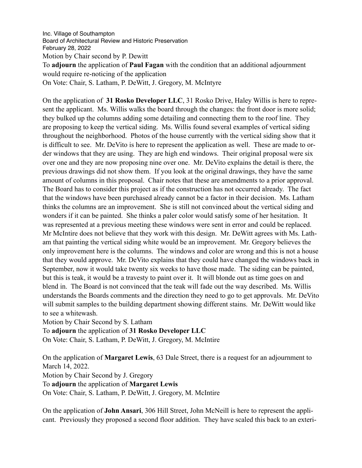Inc. Village of Southampton Board of Architectural Review and Historic Preservation February 28, 2022 Motion by Chair second by P. Dewitt To **adjourn** the application of **Paul Fagan** with the condition that an additional adjournment would require re-noticing of the application On Vote: Chair, S. Latham, P. DeWitt, J. Gregory, M. McIntyre

On the application of **31 Rosko Developer LLC**, 31 Rosko Drive, Haley Willis is here to represent the applicant. Ms. Willis walks the board through the changes: the front door is more solid; they bulked up the columns adding some detailing and connecting them to the roof line. They are proposing to keep the vertical siding. Ms. Willis found several examples of vertical siding throughout the neighborhood. Photos of the house currently with the vertical siding show that it is difficult to see. Mr. DeVito is here to represent the application as well. These are made to order windows that they are using. They are high end windows. Their original proposal were six over one and they are now proposing nine over one. Mr. DeVito explains the detail is there, the previous drawings did not show them. If you look at the original drawings, they have the same amount of columns in this proposal. Chair notes that these are amendments to a prior approval. The Board has to consider this project as if the construction has not occurred already. The fact that the windows have been purchased already cannot be a factor in their decision. Ms. Latham thinks the columns are an improvement. She is still not convinced about the vertical siding and wonders if it can be painted. She thinks a paler color would satisfy some of her hesitation. It was represented at a previous meeting these windows were sent in error and could be replaced. Mr McIntire does not believe that they work with this design. Mr. DeWitt agrees with Ms. Latham that painting the vertical siding white would be an improvement. Mr. Gregory believes the only improvement here is the columns. The windows and color are wrong and this is not a house that they would approve. Mr. DeVito explains that they could have changed the windows back in September, now it would take twenty six weeks to have those made. The siding can be painted, but this is teak, it would be a travesty to paint over it. It will blonde out as time goes on and blend in. The Board is not convinced that the teak will fade out the way described. Ms. Willis understands the Boards comments and the direction they need to go to get approvals. Mr. DeVito will submit samples to the building department showing different stains. Mr. DeWitt would like to see a whitewash.

Motion by Chair Second by S. Latham

To **adjourn** the application of **31 Rosko Developer LLC**

On Vote: Chair, S. Latham, P. DeWitt, J. Gregory, M. McIntire

On the application of **Margaret Lewis**, 63 Dale Street, there is a request for an adjournment to March 14, 2022. Motion by Chair Second by J. Gregory To **adjourn** the application of **Margaret Lewis** On Vote: Chair, S. Latham, P. DeWitt, J. Gregory, M. McIntire

On the application of **John Ansari**, 306 Hill Street, John McNeill is here to represent the applicant. Previously they proposed a second floor addition. They have scaled this back to an exteri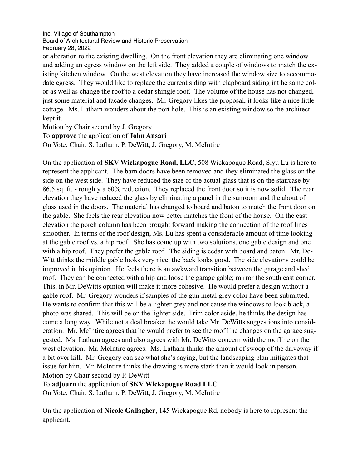Inc. Village of Southampton Board of Architectural Review and Historic Preservation February 28, 2022

or alteration to the existing dwelling. On the front elevation they are eliminating one window and adding an egress window on the left side. They added a couple of windows to match the existing kitchen window. On the west elevation they have increased the window size to accommodate egress. They would like to replace the current siding with clapboard siding int he same color as well as change the roof to a cedar shingle roof. The volume of the house has not changed, just some material and facade changes. Mr. Gregory likes the proposal, it looks like a nice little cottage. Ms. Latham wonders about the port hole. This is an existing window so the architect kept it.

Motion by Chair second by J. Gregory

To **approve** the application of **John Ansari**

On Vote: Chair, S. Latham, P. DeWitt, J. Gregory, M. McIntire

On the application of **SKV Wickapogue Road, LLC**, 508 Wickapogue Road, Siyu Lu is here to represent the applicant. The barn doors have been removed and they eliminated the glass on the side on the west side. They have reduced the size of the actual glass that is on the staircase by 86.5 sq. ft. - roughly a 60% reduction. They replaced the front door so it is now solid. The rear elevation they have reduced the glass by eliminating a panel in the sunroom and the about of glass used in the doors. The material has changed to board and baton to match the front door on the gable. She feels the rear elevation now better matches the front of the house. On the east elevation the porch column has been brought forward making the connection of the roof lines smoother. In terms of the roof design, Ms. Lu has spent a considerable amount of time looking at the gable roof vs. a hip roof. She has come up with two solutions, one gable design and one with a hip roof. They prefer the gable roof. The siding is cedar with board and baton. Mr. De-Witt thinks the middle gable looks very nice, the back looks good. The side elevations could be improved in his opinion. He feels there is an awkward transition between the garage and shed roof. They can be connected with a hip and loose the garage gable; mirror the south east corner. This, in Mr. DeWitts opinion will make it more cohesive. He would prefer a design without a gable roof. Mr. Gregory wonders if samples of the gun metal grey color have been submitted. He wants to confirm that this will be a lighter grey and not cause the windows to look black, a photo was shared. This will be on the lighter side. Trim color aside, he thinks the design has come a long way. While not a deal breaker, he would take Mr. DeWitts suggestions into consideration. Mr. McIntire agrees that he would prefer to see the roof line changes on the garage suggested. Ms. Latham agrees and also agrees with Mr. DeWitts concern with the roofline on the west elevation. Mr. McIntire agrees. Ms. Latham thinks the amount of swoop of the driveway if a bit over kill. Mr. Gregory can see what she's saying, but the landscaping plan mitigates that issue for him. Mr. McIntire thinks the drawing is more stark than it would look in person. Motion by Chair second by P. DeWitt

To **adjourn** the application of **SKV Wickapogue Road LLC**

On Vote: Chair, S. Latham, P. DeWitt, J. Gregory, M. McIntire

On the application of **Nicole Gallagher**, 145 Wickapogue Rd, nobody is here to represent the applicant.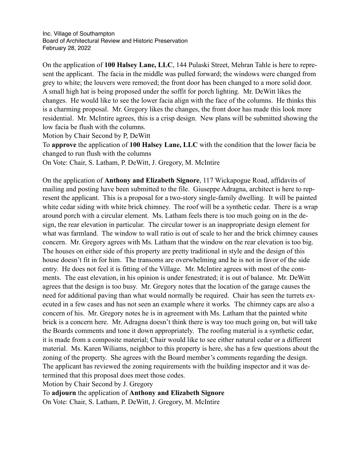On the application of **100 Halsey Lane, LLC**, 144 Pulaski Street, Mehran Tahle is here to represent the applicant. The facia in the middle was pulled forward; the windows were changed from grey to white; the louvers were removed; the front door has been changed to a more solid door. A small high hat is being proposed under the soffit for porch lighting. Mr. DeWitt likes the changes. He would like to see the lower facia align with the face of the columns. He thinks this is a charming proposal. Mr. Gregory likes the changes, the front door has made this look more residential. Mr. McIntire agrees, this is a crisp design. New plans will be submitted showing the low facia be flush with the columns.

Motion by Chair Second by P, DeWitt

To **approve** the application of **100 Halsey Lane, LLC** with the condition that the lower facia be changed to run flush with the columns

On Vote: Chair, S. Latham, P. DeWitt, J. Gregory, M. McIntire

On the application of **Anthony and Elizabeth Signore**, 117 Wickapogue Road, affidavits of mailing and posting have been submitted to the file. Giuseppe Adragna, architect is here to represent the applicant. This is a proposal for a two-story single-family dwelling. It will be painted white cedar siding with white brick chimney. The roof will be a synthetic cedar. There is a wrap around porch with a circular element. Ms. Latham feels there is too much going on in the design, the rear elevation in particular. The circular tower is an inappropriate design element for what was farmland. The window to wall ratio is out of scale to her and the brick chimney causes concern. Mr. Gregory agrees with Ms. Latham that the window on the rear elevation is too big. The houses on either side of this property are pretty traditional in style and the design of this house doesn't fit in for him. The transoms are overwhelming and he is not in favor of the side entry. He does not feel it is fitting of the Village. Mr. McIntire agrees with most of the comments. The east elevation, in his opinion is under fenestrated; it is out of balance. Mr. DeWitt agrees that the design is too busy. Mr. Gregory notes that the location of the garage causes the need for additional paving than what would normally be required. Chair has seen the turrets executed in a few cases and has not seen an example where it works. The chimney caps are also a concern of his. Mr. Gregory notes he is in agreement with Ms. Latham that the painted white brick is a concern here. Mr. Adragna doesn't think there is way too much going on, but will take the Boards comments and tone it down appropriately. The roofing material is a synthetic cedar, it is made from a composite material; Chair would like to see either natural cedar or a different material. Ms. Karen Wiliams, neighbor to this property is here, she has a few questions about the zoning of the property. She agrees with the Board member's comments regarding the design. The applicant has reviewed the zoning requirements with the building inspector and it was determined that this proposal does meet those codes.

Motion by Chair Second by J. Gregory

To **adjourn** the application of **Anthony and Elizabeth Signore**

On Vote: Chair, S. Latham, P. DeWitt, J. Gregory, M. McIntire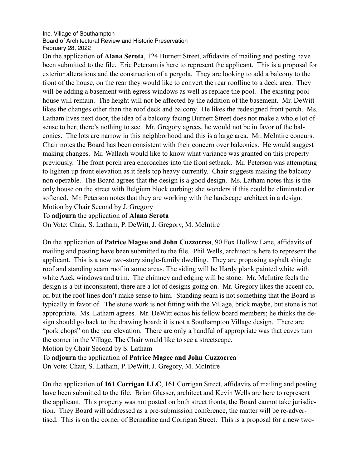## Inc. Village of Southampton Board of Architectural Review and Historic Preservation February 28, 2022

On the application of **Alana Serota**, 124 Burnett Street, affidavits of mailing and posting have been submitted to the file. Eric Peterson is here to represent the applicant. This is a proposal for exterior alterations and the construction of a pergola. They are looking to add a balcony to the front of the house, on the rear they would like to convert the rear roofline to a deck area. They will be adding a basement with egress windows as well as replace the pool. The existing pool house will remain. The height will not be affected by the addition of the basement. Mr. DeWitt likes the changes other than the roof deck and balcony. He likes the redesigned front porch. Ms. Latham lives next door, the idea of a balcony facing Burnett Street does not make a whole lot of sense to her; there's nothing to see. Mr. Gregory agrees, he would not be in favor of the balconies. The lots are narrow in this neighborhood and this is a large area. Mr. McIntire concurs. Chair notes the Board has been consistent with their concern over balconies. He would suggest making changes. Mr. Wallach would like to know what variance was granted on this property previously. The front porch area encroaches into the front setback. Mr. Peterson was attempting to lighten up front elevation as it feels top heavy currently. Chair suggests making the balcony non operable. The Board agrees that the design is a good design. Ms. Latham notes this is the only house on the street with Belgium block curbing; she wonders if this could be eliminated or softened. Mr. Peterson notes that they are working with the landscape architect in a design. Motion by Chair Second by J. Gregory

To **adjourn** the application of **Alana Serota**

On Vote: Chair, S. Latham, P. DeWitt, J. Gregory, M. McIntire

On the application of **Patrice Magee and John Cuzzocrea**, 90 Fox Hollow Lane, affidavits of mailing and posting have been submitted to the file. Phil Wells, architect is here to represent the applicant. This is a new two-story single-family dwelling. They are proposing asphalt shingle roof and standing seam roof in some areas. The siding will be Hardy plank painted white with white Azek windows and trim. The chimney and edging will be stone. Mr. McIntire feels the design is a bit inconsistent, there are a lot of designs going on. Mr. Gregory likes the accent color, but the roof lines don't make sense to him. Standing seam is not something that the Board is typically in favor of. The stone work is not fitting with the Village, brick maybe, but stone is not appropriate. Ms. Latham agrees. Mr. DeWitt echos his fellow board members; he thinks the design should go back to the drawing board; it is not a Southampton Village design. There are "pork chops" on the rear elevation. There are only a handful of appropriate was that eaves turn the corner in the Village. The Chair would like to see a streetscape.

Motion by Chair Second by S. Latham

To **adjourn** the application of **Patrice Magee and John Cuzzocrea**

On Vote: Chair, S. Latham, P. DeWitt, J. Gregory, M. McIntire

On the application of **161 Corrigan LLC**, 161 Corrigan Street, affidavits of mailing and posting have been submitted to the file. Brian Glasser, architect and Kevin Wells are here to represent the applicant. This property was not posted on both street fronts, the Board cannot take jurisdiction. They Board will addressed as a pre-submission conference, the matter will be re-advertised. This is on the corner of Bernadine and Corrigan Street. This is a proposal for a new two